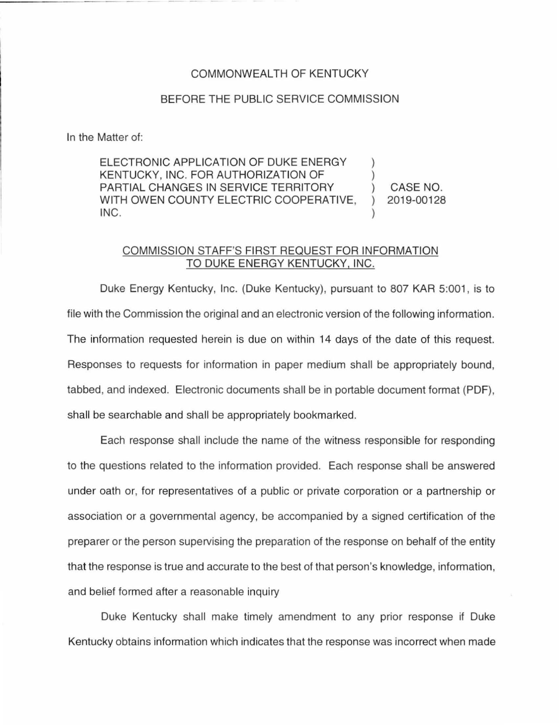## COMMONWEALTH OF KENTUCKY

## BEFORE THE PUBLIC SERVICE COMMISSION

In the Matter of:

ELECTRONIC APPLICATION OF DUKE ENERGY KENTUCKY, INC. FOR AUTHORIZATION OF PARTIAL CHANGES IN SERVICE TERRITORY WITH OWEN COUNTY ELECTRIC COOPERATIVE, INC. ) ) ) CASE NO. ) 2019-00128 )

## COMMISSION STAFF'S FIRST REQUEST FOR INFORMATION TO DUKE ENERGY KENTUCKY, INC.

Duke Energy Kentucky, Inc. (Duke Kentucky), pursuant to 807 KAR 5:001, is to file with the Commission the original and an electronic version of the following information. The information requested herein is due on within 14 days of the date of this request. Responses to requests for information in paper medium shall be appropriately bound, tabbed, and indexed. Electronic documents shall be in portable document format (PDF), shall be searchable and shall be appropriately bookmarked.

Each response shall include the name of the witness responsible for responding to the questions related to the information provided. Each response shall be answered under oath or, for representatives of a public or private corporation or a partnership or association or a governmental agency, be accompanied by a signed certification of the preparer or the person supervising the preparation of the response on behalf of the entity that the response is true and accurate to the best of that person's knowledge, information, and belief formed after a reasonable inquiry

Duke Kentucky shall make timely amendment to any prior response if Duke Kentucky obtains information which indicates that the response was incorrect when made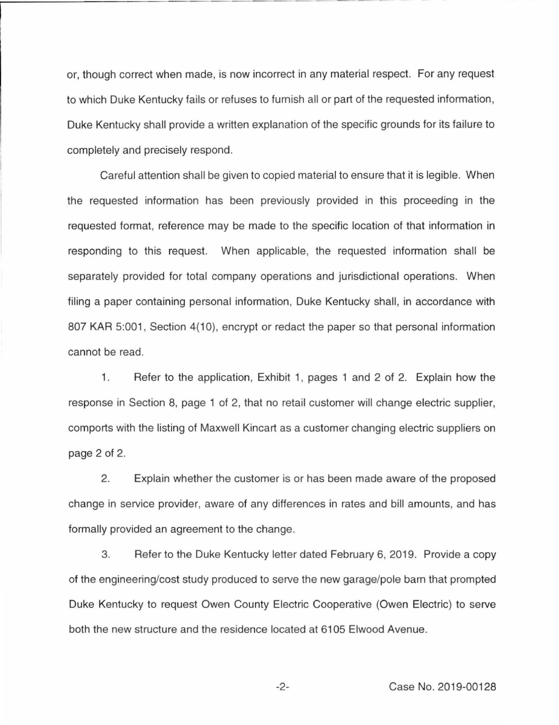or, though correct when made, is now incorrect in any material respect. For any request to which Duke Kentucky fails or refuses to furnish all or part of the requested information, Duke Kentucky shall provide a written explanation of the specific grounds for its failure to completely and precisely respond.

Careful attention shall be given to copied material to ensure that it is legible. When the requested information has been previously provided in this proceeding in the requested format, reference may be made to the specific location of that information in responding to this request. When applicable, the requested information shall be separately provided for total company operations and jurisdictional operations. When filing a paper containing personal information, Duke Kentucky shall, in accordance with 807 KAR 5:001, Section 4(10), encrypt or redact the paper so that personal information cannot be read.

1. Refer to the application, Exhibit 1, pages 1 and 2 of 2. Explain how the response in Section 8, page 1 of 2, that no retail customer will change electric supplier, comports with the listing of Maxwell Kincart as a customer changing electric suppliers on page 2 of 2.

2. Explain whether the customer is or has been made aware of the proposed change in service provider, aware of any differences in rates and bill amounts, and has formally provided an agreement to the change.

3. Refer to the Duke Kentucky letter dated February 6, 2019. Provide a copy of the engineering/cost study produced to serve the new garage/pole barn that prompted Duke Kentucky to request Owen County Electric Cooperative (Owen Electric) to serve both the new structure and the residence located at 6105 Elwood Avenue.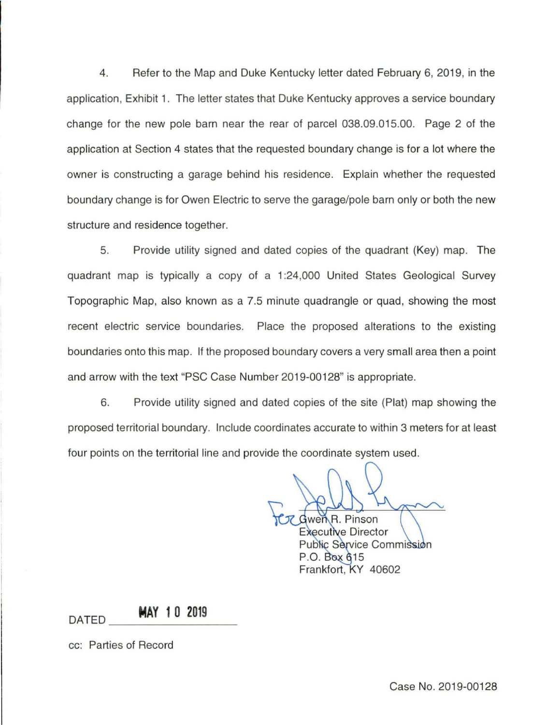4. Refer to the Map and Duke Kentucky letter dated February 6, 2019, in the application, Exhibit 1. The letter states that Duke Kentucky approves a service boundary change for the new pole barn near the rear of parcel 038.09.015.00. Page 2 of the application at Section 4 states that the requested boundary change is for a lot where the owner is constructing a garage behind his residence. Explain whether the requested boundary change is for Owen Electric to serve the garage/pole barn only or both the new structure and residence together.

5. Provide utility signed and dated copies of the quadrant (Key) map. The quadrant map is typically a copy of a 1 :24,000 United States Geological Survey Topographic Map, also known as a 7.5 minute quadrangle or quad, showing the most recent electric service boundaries. Place the proposed alterations to the existing boundaries onto this map. If the proposed boundary covers a very small area then a point and arrow with the text "PSC Case Number 2019-00128" is appropriate.

6. Provide utility signed and dated copies of the site (Plat) map showing the proposed territorial boundary. Include coordinates accurate to within 3 meters for at least four points on the territorial line and provide the coordinate system used.

wen R. Pinson **Executive Director** Public Service Commission P.O. Box 615 Frankfort, KY 40602

## DATED **MAY 1 0 2019** ---------

cc: Parties of Record